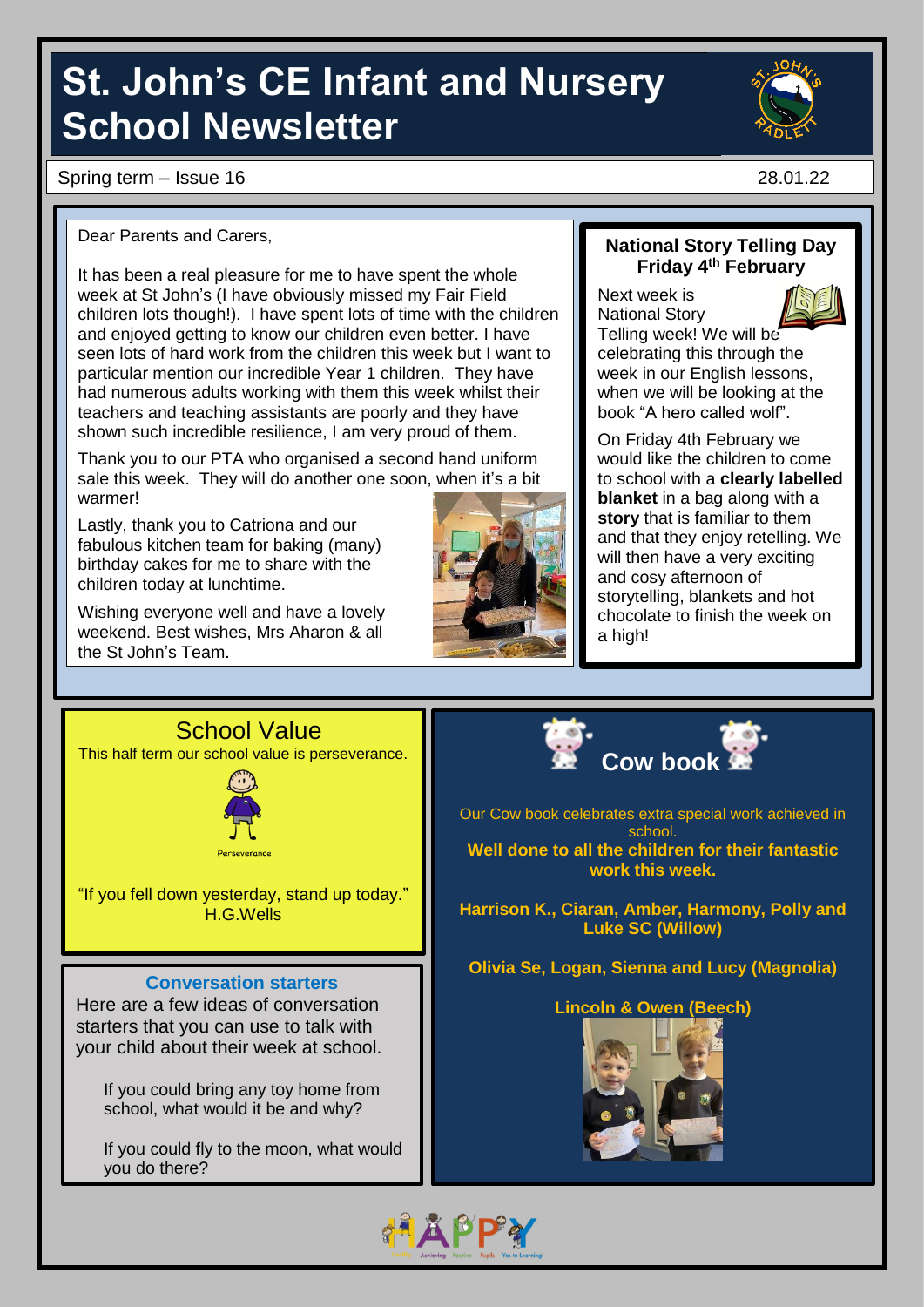# **St. John's CE Infant and Nursery School Newsletter**

Spring term – Issue 16 28.01.22

#### Dear Parents and Carers,

It has been a real pleasure for me to have spent the whole week at St John's (I have obviously missed my Fair Field children lots though!). I have spent lots of time with the children and enjoyed getting to know our children even better. I have seen lots of hard work from the children this week but I want to particular mention our incredible Year 1 children. They have had numerous adults working with them this week whilst their teachers and teaching assistants are poorly and they have shown such incredible resilience, I am very proud of them.

Thank you to our PTA who organised a second hand uniform sale this week. They will do another one soon, when it's a bit warmer!

Lastly, thank you to Catriona and our fabulous kitchen team for baking (many) birthday cakes for me to share with the children today at lunchtime.

Wishing everyone well and have a lovely weekend. Best wishes, Mrs Aharon & all the St John's Team.





Next week is National Story Telling week! We will be celebrating this through the week in our English lessons, when we will be looking at the book "A hero called wolf".

On Friday 4th February we would like the children to come to school with a **clearly labelled blanket** in a bag along with a **story** that is familiar to them and that they enjoy retelling. We will then have a very exciting and cosy afternoon of storytelling, blankets and hot chocolate to finish the week on a high!

### School Value This half term our school value is perseverance.



"If you fell down yesterday, stand up today." H.G.Wells

#### **Conversation starters**

Here are a few ideas of conversation starters that you can use to talk with your child about their week at school.

If you could bring any toy home from school, what would it be and why?

If you could fly to the moon, what would you do there?



Our Cow book celebrates extra special work achieved in school. **Well done to all the children for their fantastic work this week.**

**Harrison K., Ciaran, Amber, Harmony, Polly and Luke SC (Willow)**

**Olivia Se, Logan, Sienna and Lucy (Magnolia)** 

#### **Lincoln & Owen (Beech)**



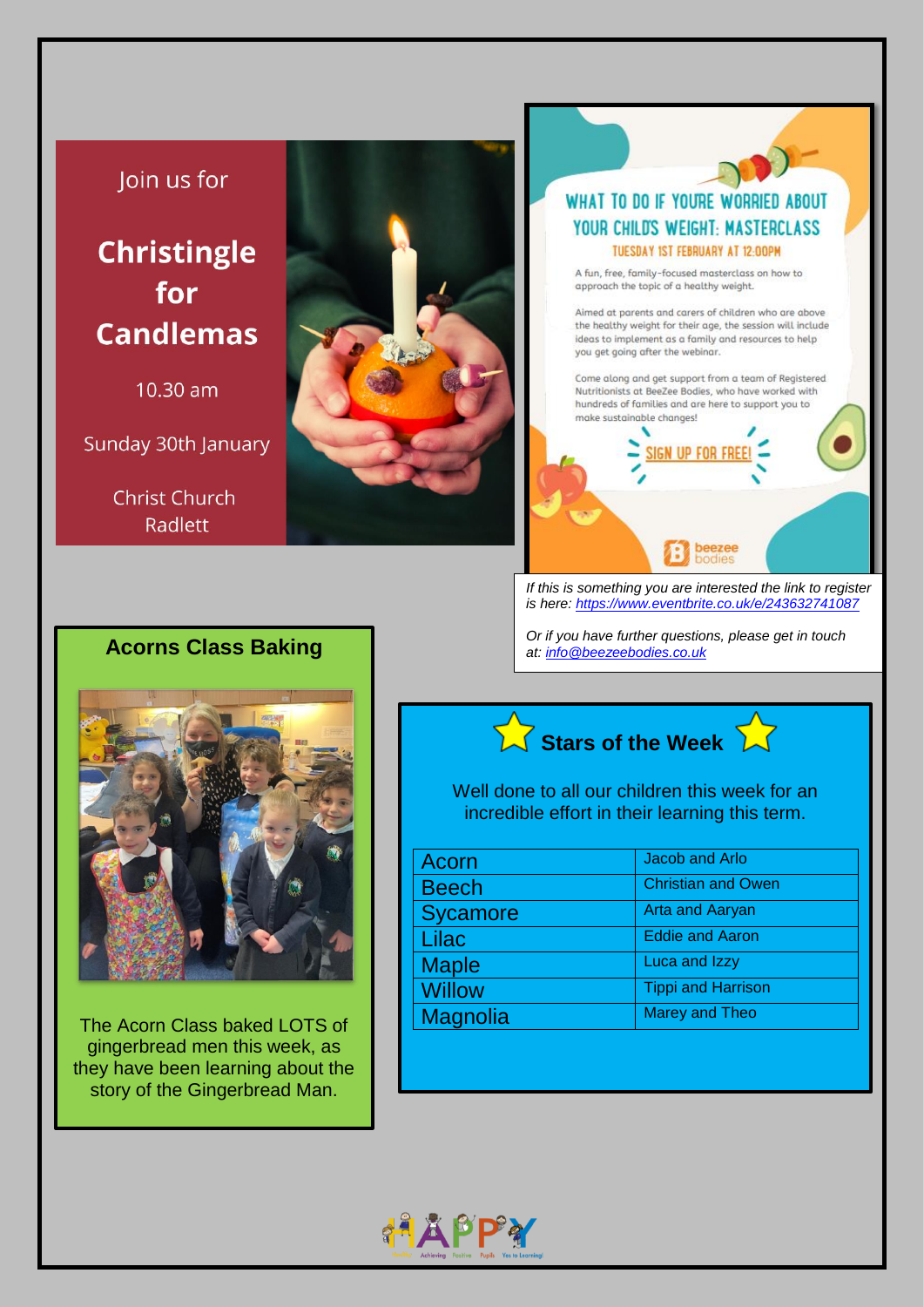### Join us for

## **Christingle** for **Candlemas**

10.30 am

Sunday 30th January

**Christ Church** Radlett



#### WHAT TO DO IF YOURE WORRIED ABOUT YOUR CHILD'S WEIGHT: MASTERCLASS **TUESDAY IST FEBRUARY AT 12:00PM**

A fun, free, family-focused masterclass on how to approach the topic of a healthy weight.

Aimed at parents and carers of children who are above the healthy weight for their age, the session will include ideas to implement as a family and resources to help you get going after the webinar.

Come along and get support from a team of Registered Nutritionists at BeeZee Bodies, who have worked with hundreds of families and are here to support you to make sustainable changes!



*If this is something you are interested the link to register is here: <https://www.eventbrite.co.uk/e/243632741087>*

*Or if you have further questions, please get in touch at: [info@beezeebodies.co.uk](mailto:info@beezeebodies.co.uk)*

## **Acorns Class Baking**



The Acorn Class baked LOTS of gingerbread men this week, as they have been learning about the story of the Gingerbread Man.



Well done to all our children this week for an incredible effort in their learning this term.

| Acorn           | Jacob and Arlo            |
|-----------------|---------------------------|
| <b>Beech</b>    | <b>Christian and Owen</b> |
| <b>Sycamore</b> | <b>Arta and Aaryan</b>    |
| Lilac           | <b>Eddie and Aaron</b>    |
| <b>Maple</b>    | Luca and Izzy             |
| <b>Willow</b>   | <b>Tippi and Harrison</b> |
| Magnolia        | <b>Marey and Theo</b>     |

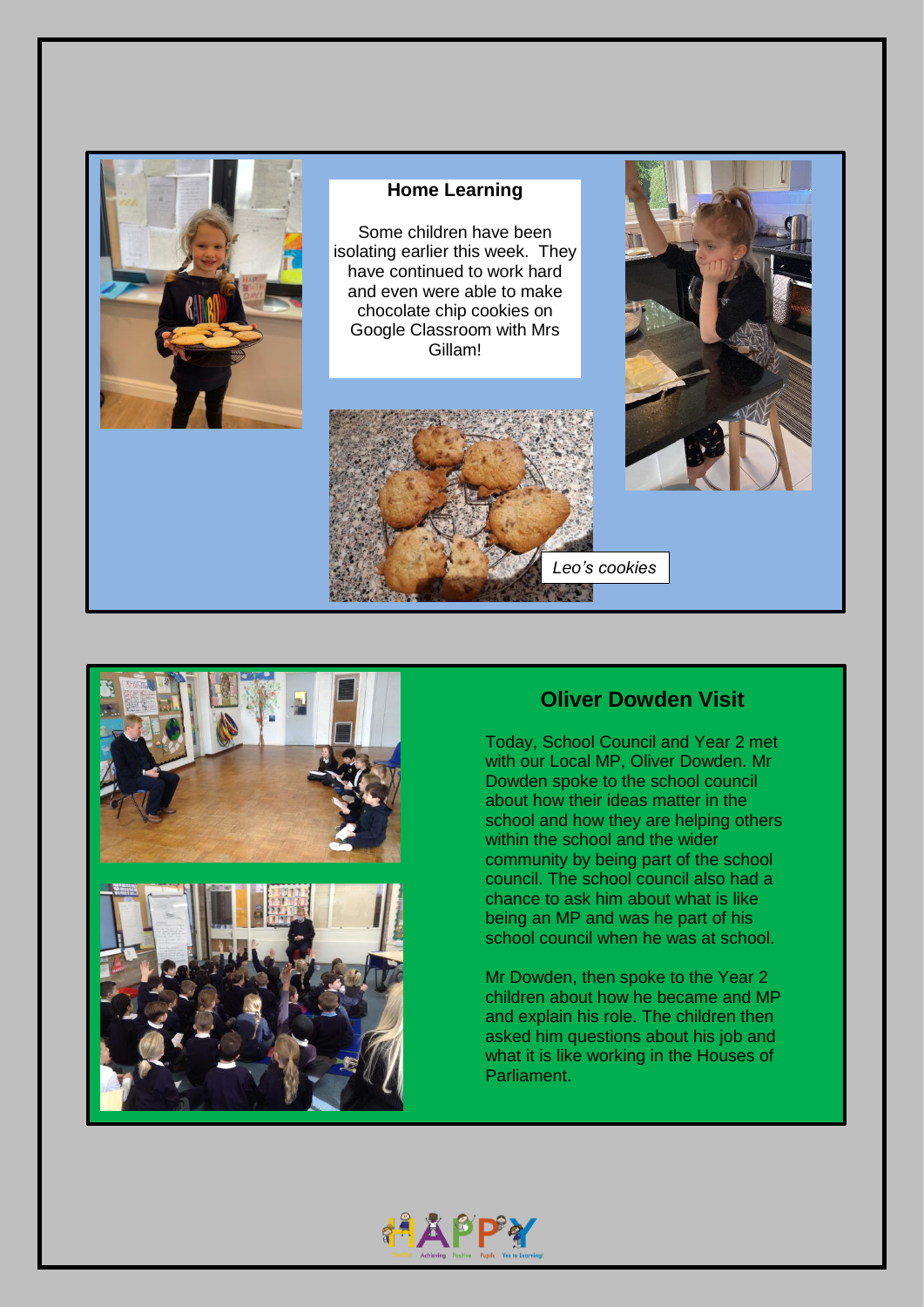



## **Oliver Dowden Visit**

Today, School Council and Year 2 met with our Local MP, Oliver Dowden. Mr Dowden spoke to the school council about how their ideas matter in the school and how they are helping others within the school and the wider community by being part of the school council. The school council also had a chance to ask him about what is like being an MP and was he part of his school council when he was at school.

Mr Dowden, then spoke to the Year 2 children about how he became and MP and explain his role. The children then asked him questions about his job and what it is like working in the Houses of Parliament.